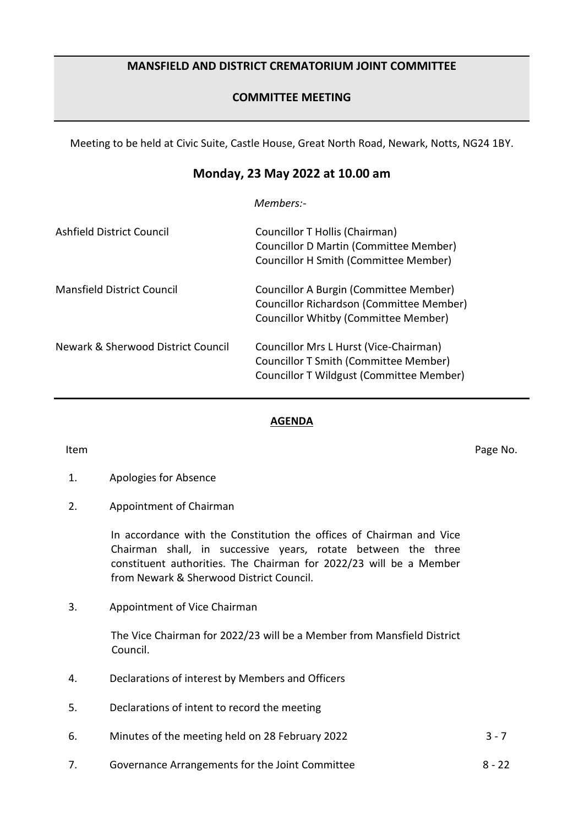## **MANSFIELD AND DISTRICT CREMATORIUM JOINT COMMITTEE**

# **COMMITTEE MEETING**

Meeting to be held at Civic Suite, Castle House, Great North Road, Newark, Notts, NG24 1BY.

# **Monday, 23 May 2022 at 10.00 am**

*Members:-*

| Ashfield District Council          | Councillor T Hollis (Chairman)<br>Councillor D Martin (Committee Member)<br>Councillor H Smith (Committee Member)                  |
|------------------------------------|------------------------------------------------------------------------------------------------------------------------------------|
| <b>Mansfield District Council</b>  | Councillor A Burgin (Committee Member)<br>Councillor Richardson (Committee Member)<br>Councillor Whitby (Committee Member)         |
| Newark & Sherwood District Council | Councillor Mrs L Hurst (Vice-Chairman)<br><b>Councillor T Smith (Committee Member)</b><br>Councillor T Wildgust (Committee Member) |

### **AGENDA**

Item **Internal Contract of the Contract Contract Contract Contract Contract Contract Contract Contract Contract Contract Contract Contract Contract Contract Contract Contract Contract Contract Contract Contract Contract Co** 

- 1. Apologies for Absence
- 2. Appointment of Chairman

In accordance with the Constitution the offices of Chairman and Vice Chairman shall, in successive years, rotate between the three constituent authorities. The Chairman for 2022/23 will be a Member from Newark & Sherwood District Council.

3. Appointment of Vice Chairman

The Vice Chairman for 2022/23 will be a Member from Mansfield District Council.

- 4. Declarations of interest by Members and Officers
- 5. Declarations of intent to record the meeting
- 6. Minutes of the meeting held on 28 February 2022 3 7
- 7. Governance Arrangements for the Joint Committee 6 1903 122